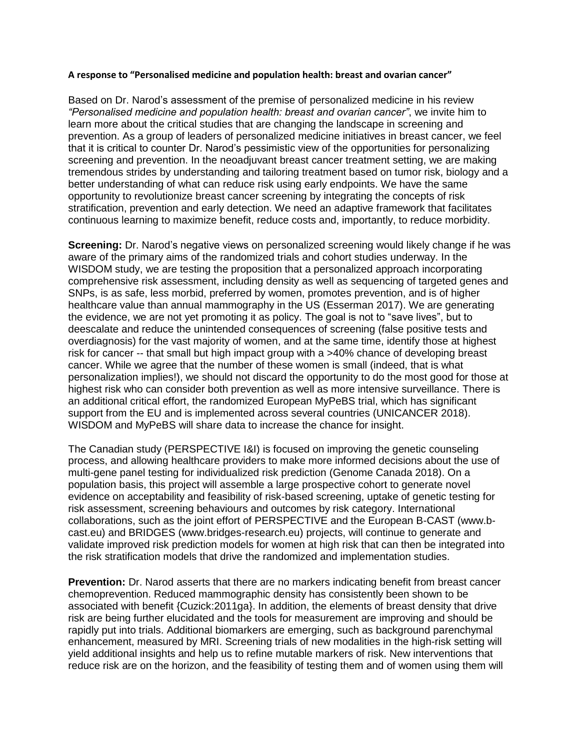## **A response to "Personalised medicine and population health: breast and ovarian cancer"**

Based on Dr. Narod's assessment of the premise of personalized medicine in his review *"Personalised medicine and population health: breast and ovarian cancer"*, we invite him to learn more about the critical studies that are changing the landscape in screening and prevention. As a group of leaders of personalized medicine initiatives in breast cancer, we feel that it is critical to counter Dr. Narod's pessimistic view of the opportunities for personalizing screening and prevention. In the neoadjuvant breast cancer treatment setting, we are making tremendous strides by understanding and tailoring treatment based on tumor risk, biology and a better understanding of what can reduce risk using early endpoints. We have the same opportunity to revolutionize breast cancer screening by integrating the concepts of risk stratification, prevention and early detection. We need an adaptive framework that facilitates continuous learning to maximize benefit, reduce costs and, importantly, to reduce morbidity.

**Screening:** Dr. Narod's negative views on personalized screening would likely change if he was aware of the primary aims of the randomized trials and cohort studies underway. In the WISDOM study, we are testing the proposition that a personalized approach incorporating comprehensive risk assessment, including density as well as sequencing of targeted genes and SNPs, is as safe, less morbid, preferred by women, promotes prevention, and is of higher healthcare value than annual mammography in the US (Esserman 2017). We are generating the evidence, we are not yet promoting it as policy. The goal is not to "save lives", but to deescalate and reduce the unintended consequences of screening (false positive tests and overdiagnosis) for the vast majority of women, and at the same time, identify those at highest risk for cancer -- that small but high impact group with a >40% chance of developing breast cancer. While we agree that the number of these women is small (indeed, that is what personalization implies!), we should not discard the opportunity to do the most good for those at highest risk who can consider both prevention as well as more intensive surveillance. There is an additional critical effort, the randomized European MyPeBS trial, which has significant support from the EU and is implemented across several countries (UNICANCER 2018). WISDOM and MyPeBS will share data to increase the chance for insight.

The Canadian study (PERSPECTIVE I&I) is focused on improving the genetic counseling process, and allowing healthcare providers to make more informed decisions about the use of multi-gene panel testing for individualized risk prediction (Genome Canada 2018). On a population basis, this project will assemble a large prospective cohort to generate novel evidence on acceptability and feasibility of risk-based screening, uptake of genetic testing for risk assessment, screening behaviours and outcomes by risk category. International collaborations, such as the joint effort of PERSPECTIVE and the European B-CAST (www.bcast.eu) and BRIDGES (www.bridges-research.eu) projects, will continue to generate and validate improved risk prediction models for women at high risk that can then be integrated into the risk stratification models that drive the randomized and implementation studies.

**Prevention:** Dr. Narod asserts that there are no markers indicating benefit from breast cancer chemoprevention. Reduced mammographic density has consistently been shown to be associated with benefit {Cuzick:2011ga}. In addition, the elements of breast density that drive risk are being further elucidated and the tools for measurement are improving and should be rapidly put into trials. Additional biomarkers are emerging, such as background parenchymal enhancement, measured by MRI. Screening trials of new modalities in the high-risk setting will yield additional insights and help us to refine mutable markers of risk. New interventions that reduce risk are on the horizon, and the feasibility of testing them and of women using them will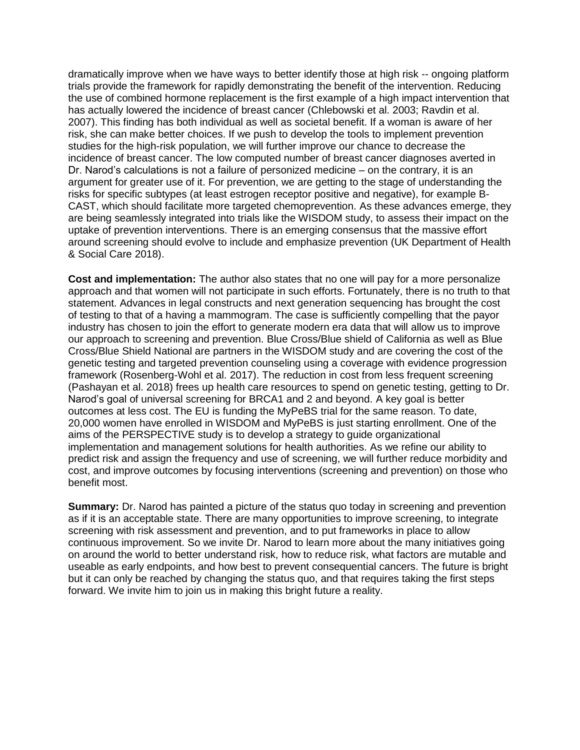dramatically improve when we have ways to better identify those at high risk -- ongoing platform trials provide the framework for rapidly demonstrating the benefit of the intervention. Reducing the use of combined hormone replacement is the first example of a high impact intervention that has actually lowered the incidence of breast cancer (Chlebowski et al. 2003; Ravdin et al. 2007). This finding has both individual as well as societal benefit. If a woman is aware of her risk, she can make better choices. If we push to develop the tools to implement prevention studies for the high-risk population, we will further improve our chance to decrease the incidence of breast cancer. The low computed number of breast cancer diagnoses averted in Dr. Narod's calculations is not a failure of personized medicine – on the contrary, it is an argument for greater use of it. For prevention, we are getting to the stage of understanding the risks for specific subtypes (at least estrogen receptor positive and negative), for example B-CAST, which should facilitate more targeted chemoprevention. As these advances emerge, they are being seamlessly integrated into trials like the WISDOM study, to assess their impact on the uptake of prevention interventions. There is an emerging consensus that the massive effort around screening should evolve to include and emphasize prevention (UK Department of Health & Social Care 2018).

**Cost and implementation:** The author also states that no one will pay for a more personalize approach and that women will not participate in such efforts. Fortunately, there is no truth to that statement. Advances in legal constructs and next generation sequencing has brought the cost of testing to that of a having a mammogram. The case is sufficiently compelling that the payor industry has chosen to join the effort to generate modern era data that will allow us to improve our approach to screening and prevention. Blue Cross/Blue shield of California as well as Blue Cross/Blue Shield National are partners in the WISDOM study and are covering the cost of the genetic testing and targeted prevention counseling using a coverage with evidence progression framework (Rosenberg-Wohl et al. 2017). The reduction in cost from less frequent screening (Pashayan et al. 2018) frees up health care resources to spend on genetic testing, getting to Dr. Narod's goal of universal screening for BRCA1 and 2 and beyond. A key goal is better outcomes at less cost. The EU is funding the MyPeBS trial for the same reason. To date, 20,000 women have enrolled in WISDOM and MyPeBS is just starting enrollment. One of the aims of the PERSPECTIVE study is to develop a strategy to guide organizational implementation and management solutions for health authorities. As we refine our ability to predict risk and assign the frequency and use of screening, we will further reduce morbidity and cost, and improve outcomes by focusing interventions (screening and prevention) on those who benefit most.

**Summary:** Dr. Narod has painted a picture of the status quo today in screening and prevention as if it is an acceptable state. There are many opportunities to improve screening, to integrate screening with risk assessment and prevention, and to put frameworks in place to allow continuous improvement. So we invite Dr. Narod to learn more about the many initiatives going on around the world to better understand risk, how to reduce risk, what factors are mutable and useable as early endpoints, and how best to prevent consequential cancers. The future is bright but it can only be reached by changing the status quo, and that requires taking the first steps forward. We invite him to join us in making this bright future a reality.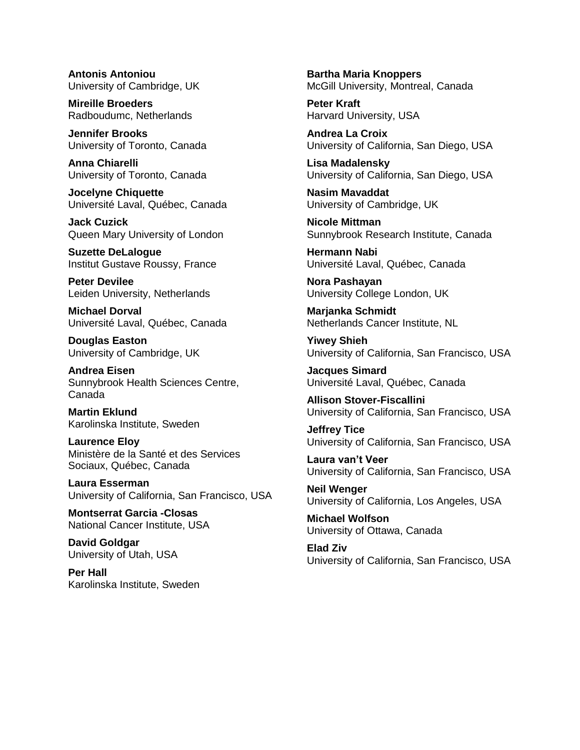**Antonis Antoniou** University of Cambridge, UK

**Mireille Broeders** Radboudumc, Netherlands

**Jennifer Brooks** University of Toronto, Canada

**Anna Chiarelli** University of Toronto, Canada

**Jocelyne Chiquette** Université Laval, Québec, Canada

**Jack Cuzick** Queen Mary University of London

**Suzette DeLalogue** Institut Gustave Roussy, France

**Peter Devilee** Leiden University, Netherlands

**Michael Dorval** Université Laval, Québec, Canada

**Douglas Easton** University of Cambridge, UK

**Andrea Eisen** Sunnybrook Health Sciences Centre, Canada

**Martin Eklund** Karolinska Institute, Sweden

**Laurence Eloy** Ministère de la Santé et des Services Sociaux, Québec, Canada

**Laura Esserman** University of California, San Francisco, USA

**Montserrat Garcia -Closas** National Cancer Institute, USA

**David Goldgar** University of Utah, USA

**Per Hall** Karolinska Institute, Sweden **Bartha Maria Knoppers** McGill University, Montreal, Canada

**Peter Kraft** Harvard University, USA

**Andrea La Croix** University of California, San Diego, USA

**Lisa Madalensky** University of California, San Diego, USA

**Nasim Mavaddat** University of Cambridge, UK

**Nicole Mittman** Sunnybrook Research Institute, Canada

**Hermann Nabi** Université Laval, Québec, Canada

**Nora Pashayan** University College London, UK

**Marjanka Schmidt** Netherlands Cancer Institute, NL

**Yiwey Shieh** University of California, San Francisco, USA

**Jacques Simard** Université Laval, Québec, Canada

**Allison Stover-Fiscallini** University of California, San Francisco, USA

**Jeffrey Tice** University of California, San Francisco, USA

**Laura van't Veer** University of California, San Francisco, USA

**Neil Wenger** University of California, Los Angeles, USA

**Michael Wolfson** University of Ottawa, Canada

**Elad Ziv** University of California, San Francisco, USA